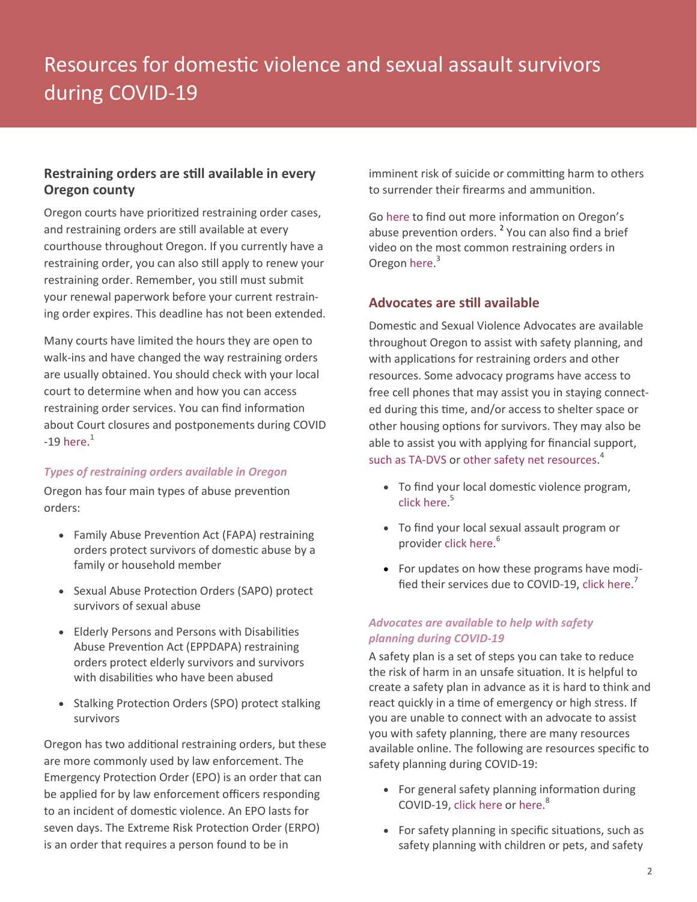# **Restraining orders are still available in every Oregon county**

Oregon courts have prioritized restraining order cases, and restraining orders are still available at every courthouse throughout Oregon. If you currently have a restraining order, you can also still apply to renew your restraining order. Remember, you still must submit your renewal paperwork before your current restraining order expires. This deadline has not been extended.

Many courts have limited the hours they are open to walk-ins and have changed the way restraining orders are usually obtained. You should check with your local court to determine when and how you can access restraining order services. You can find information about Court closures and postponements during COVID -19 [here.](https://oregonlawhelp.org/classroom/public-health-and-coronavirus-covid-19/courts) $1$ 

### *Types of restraining orders available in Oregon*

Oregon has four main types of abuse prevention orders:

- Family Abuse Prevention Act (FAPA) restraining orders protect survivors of domestic abuse by a family or household member
- Sexual Abuse Protection Orders (SAPO) protect survivors of sexual abuse
- Elderly Persons and Persons with Disabilities Abuse Prevention Act (EPPDAPA) restraining orders protect elderly survivors and survivors with disabilities who have been abused
- Stalking Protection Orders (SPO) protect stalking survivors

Oregon has two additional restraining orders, but these are more commonly used by law enforcement. The Emergency Protection Order (EPO) is an order that can be applied for by law enforcement officers responding to an incident of domestic violence. An EPO lasts for seven days. The Extreme Risk Protection Order (ERPO) is an order that requires a person found to be in

imminent risk of suicide or committing harm to others to surrender their firearms and ammunition.

Go [here](https://oregonlawhelp.org/issues/protection-from-abuse/protective-and-restraining-orders) to find out more information on Oregon's abuse prevention orders. <sup>2</sup> You can also find a brief video on the most common restraining orders in Oregon [here.](https://www.youtube.com/embed/WNn9NhC88ho)<sup>3</sup>

# **Advocates are still available**

Domestic and Sexual Violence Advocates are available throughout Oregon to assist with safety planning, and with applications for restraining orders and other resources. Some advocacy programs have access to free cell phones that may assist you in staying connected during this time, and/or access to shelter space or other housing options for survivors. They may also be able to assist you with applying for financial support, [such as TA](https://sharedsystems.dhsoha.state.or.us/DHSForms/Served/de2384.pdf)-DVS or [other safety net resources.](https://oregonlawhelp.org/files/CCDACC15-944D-570E-7F1F-7BBF3DEC0018/attachments/9297BB04-C572-46B8-B537-B93B65F0E9AB/safety-net-resources-english.pdf)<sup>4</sup>

- To find your local domestic violence program, [click here.](https://www.ocadsv.org/find-help) 5
- To find your local sexual assault program or provider [click here.](https://oregonsatf.org/help-for-survivors/) 6
- For updates on how these programs have modified their services due to COVID-19, [click here.](https://www.ocadsv.org/updates-impact-service-delivery-due-covid-19)<sup>7</sup>

# *Advocates are available to help with safety planning during COVID-19*

A safety plan is a set of steps you can take to reduce the risk of harm in an unsafe situation. It is helpful to create a safety plan in advance as it is hard to think and react quickly in a time of emergency or high stress. If you are unable to connect with an advocate to assist you with safety planning, there are many resources available online. The following are resources specific to safety planning during COVID-19:

- For general safety planning information during COVID-19, [click here](https://sanctuaryforfamilies.org/wp-content/uploads/2020/04/Safety-Planning-EN.pdf) or [here.](https://www.thehotline.org/2020/03/13/staying-safe-during-covid-19/)<sup>8</sup>
- For safety planning in specific situations, such as safety planning with children or pets, and safety